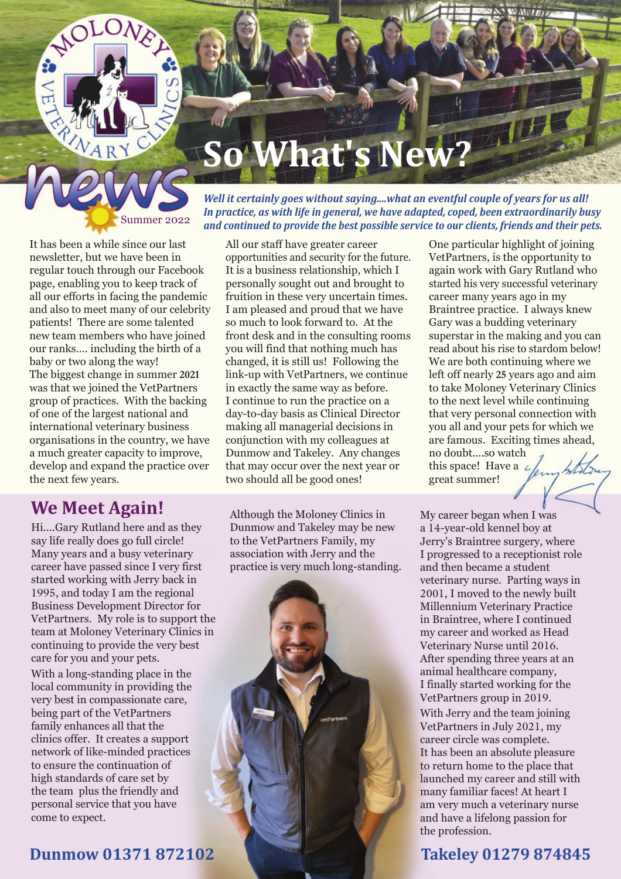# **So What's New?**

*Well it certainly goes without saying....what an eventful couple of years for us all! In practice, as with life in general, we have adapted, coped, been extraordinarily busy and continued to provide the best possible service to our clients, friends and their pets.*

Summer 2022

It has been a while since our last newsletter, but we have been in regular touch through our Facebook page, enabling you to keep track of all our efforts in facing the pandemic and also to meet many of our celebrity patients! There are some talented new team members who have joined our ranks…. including the birth of a baby or two along the way! The biggest change in summer **2021** was that we joined the VetPartners group of practices. With the backing of one of the largest national and international veterinary business organisations in the country, we have a much greater capacity to improve, develop and expand the practice over the next few years.

### **We Meet Again!**

Hi....Gary Rutland here and as they say life really does go full circle! Many years and a busy veterinary career have passed since I very first started working with Jerry back in 1995, and today I am the regional Business Development Director for VetPartners. My role is to support the team at Moloney Veterinary Clinics in continuing to provide the very best care for you and your pets.

With a long-standing place in the local community in providing the very best in compassionate care, being part of the VetPartners family enhances all that the clinics offer. It creates a support network of like-minded practices to ensure the continuation of high standards of care set by the team plus the friendly and personal service that you have come to expect.

All our staff have greater career opportunities and security for the future. It is a business relationship, which I personally sought out and brought to fruition in these very uncertain times. I am pleased and proud that we have so much to look forward to. At the front desk and in the consulting rooms you will find that nothing much has changed, it is still us! Following the link-up with VetPartners, we continue in exactly the same way as before. I continue to run the practice on a day-to-day basis as Clinical Director making all managerial decisions in conjunction with my colleagues at Dunmow and Takeley. Any changes that may occur over the next year or two should all be good ones!

Although the Moloney Clinics in Dunmow and Takeley may be new to the VetPartners Family, my association with Jerry and the practice is very much long-standing. One particular highlight of joining VetPartners, is the opportunity to again work with Gary Rutland who started his very successful veterinary career many years ago in my Braintree practice. I always knew Gary was a budding veterinary superstar in the making and you can read about his rise to stardom below! We are both continuing where we left off nearly **25** years ago and aim to take Moloney Veterinary Clinics to the next level while continuing that very personal connection with you all and your pets for which we are famous. Exciting times ahead, no doubt....so watch this space! Have a  $\angle$ great summer!

My career began when I was a 14-year-old kennel boy at Jerry's Braintree surgery, where I progressed to a receptionist role and then became a student veterinary nurse. Parting ways in 2001, I moved to the newly built Millennium Veterinary Practice in Braintree, where I continued my career and worked as Head Veterinary Nurse until 2016. After spending three years at an animal healthcare company, I finally started working for the VetPartners group in 2019. With Jerry and the team joining VetPartners in July 2021, my career circle was complete. It has been an absolute pleasure to return home to the place that launched my career and still with many familiar faces! At heart I am very much a veterinary nurse and have a lifelong passion for the profession.

#### **Dunmow 01371 872102 Takeley 01279 874845**